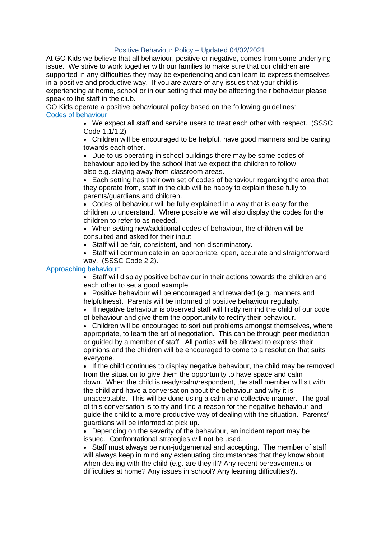## Positive Behaviour Policy – Updated 04/02/2021

At GO Kids we believe that all behaviour, positive or negative, comes from some underlying issue. We strive to work together with our families to make sure that our children are supported in any difficulties they may be experiencing and can learn to express themselves in a positive and productive way. If you are aware of any issues that your child is experiencing at home, school or in our setting that may be affecting their behaviour please speak to the staff in the club.

GO Kids operate a positive behavioural policy based on the following guidelines: Codes of behaviour:

> • We expect all staff and service users to treat each other with respect. (SSSC Code 1.1/1.2)

> • Children will be encouraged to be helpful, have good manners and be caring towards each other.

• Due to us operating in school buildings there may be some codes of behaviour applied by the school that we expect the children to follow also e.g. staying away from classroom areas.

• Each setting has their own set of codes of behaviour regarding the area that they operate from, staff in the club will be happy to explain these fully to parents/guardians and children.

• Codes of behaviour will be fully explained in a way that is easy for the children to understand. Where possible we will also display the codes for the children to refer to as needed.

• When setting new/additional codes of behaviour, the children will be consulted and asked for their input.

• Staff will be fair, consistent, and non-discriminatory.

• Staff will communicate in an appropriate, open, accurate and straightforward way. (SSSC Code 2.2).

## Approaching behaviour:

• Staff will display positive behaviour in their actions towards the children and each other to set a good example.

• Positive behaviour will be encouraged and rewarded (e.g. manners and helpfulness). Parents will be informed of positive behaviour regularly.

• If negative behaviour is observed staff will firstly remind the child of our code of behaviour and give them the opportunity to rectify their behaviour.

• Children will be encouraged to sort out problems amongst themselves, where appropriate, to learn the art of negotiation. This can be through peer mediation or guided by a member of staff. All parties will be allowed to express their opinions and the children will be encouraged to come to a resolution that suits everyone.

• If the child continues to display negative behaviour, the child may be removed from the situation to give them the opportunity to have space and calm down. When the child is ready/calm/respondent, the staff member will sit with the child and have a conversation about the behaviour and why it is unacceptable. This will be done using a calm and collective manner. The goal of this conversation is to try and find a reason for the negative behaviour and guide the child to a more productive way of dealing with the situation. Parents/ guardians will be informed at pick up.

• Depending on the severity of the behaviour, an incident report may be issued. Confrontational strategies will not be used.

• Staff must always be non-judgemental and accepting. The member of staff will always keep in mind any extenuating circumstances that they know about when dealing with the child (e.g. are they ill? Any recent bereavements or difficulties at home? Any issues in school? Any learning difficulties?).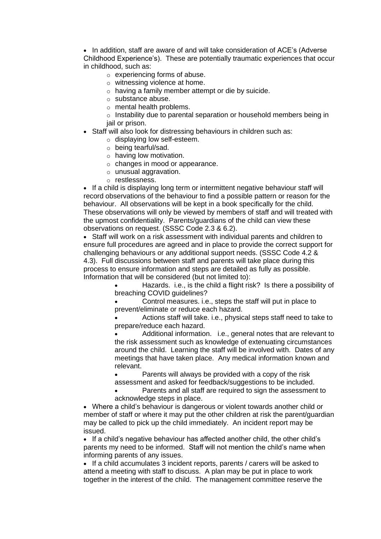• In addition, staff are aware of and will take consideration of ACE's (Adverse Childhood Experience's). These are potentially traumatic experiences that occur in childhood, such as:

- o experiencing forms of abuse.
- o witnessing violence at home.
- o having a family member attempt or die by suicide.
- o substance abuse.
- $\circ$  mental health problems.

o Instability due to parental separation or household members being in jail or prison.

- Staff will also look for distressing behaviours in children such as:
	- o displaying low self-esteem.
	- o being tearful/sad.
	- $\circ$  having low motivation.
	- $\circ$  changes in mood or appearance.
	- o unusual aggravation.
	- o restlessness.

• If a child is displaying long term or intermittent negative behaviour staff will record observations of the behaviour to find a possible pattern or reason for the behaviour. All observations will be kept in a book specifically for the child. These observations will only be viewed by members of staff and will treated with the upmost confidentiality. Parents/guardians of the child can view these observations on request. (SSSC Code 2.3 & 6.2).

• Staff will work on a risk assessment with individual parents and children to ensure full procedures are agreed and in place to provide the correct support for challenging behaviours or any additional support needs. (SSSC Code 4.2 & 4.3). Full discussions between staff and parents will take place during this process to ensure information and steps are detailed as fully as possible. Information that will be considered (but not limited to):

> • Hazards. i.e., is the child a flight risk? Is there a possibility of breaching COVID guidelines?

• Control measures. i.e., steps the staff will put in place to prevent/eliminate or reduce each hazard.

• Actions staff will take. i.e., physical steps staff need to take to prepare/reduce each hazard.

• Additional information. i.e., general notes that are relevant to the risk assessment such as knowledge of extenuating circumstances around the child. Learning the staff will be involved with. Dates of any meetings that have taken place. Any medical information known and relevant.

Parents will always be provided with a copy of the risk assessment and asked for feedback/suggestions to be included.

Parents and all staff are required to sign the assessment to acknowledge steps in place.

• Where a child's behaviour is dangerous or violent towards another child or member of staff or where it may put the other children at risk the parent/guardian may be called to pick up the child immediately. An incident report may be issued.

• If a child's negative behaviour has affected another child, the other child's parents my need to be informed. Staff will not mention the child's name when informing parents of any issues.

• If a child accumulates 3 incident reports, parents / carers will be asked to attend a meeting with staff to discuss. A plan may be put in place to work together in the interest of the child. The management committee reserve the